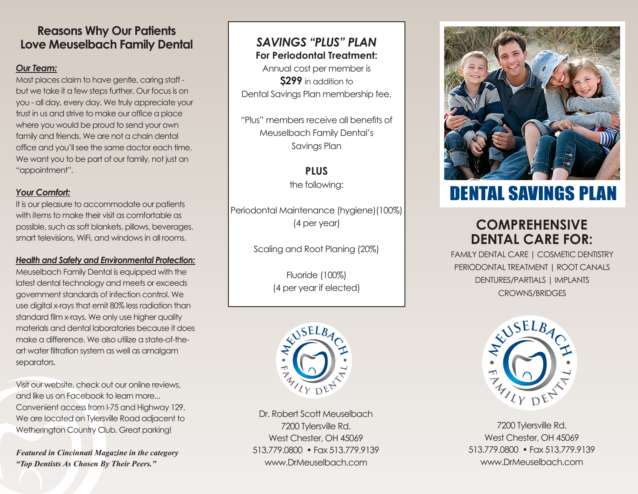# **Reasons Why Our Patients Love Meuselbach Family Dental**

## *Our Team:*

Most places claim to have gentle, caring staff but we take it a few steps further. Our focus is on you - all day, every day. We truly appreciate your trust in us and strive to make our office a place where you would be proud to send your own family and friends. We are not a chain dental office and you'll see the same doctor each time. We want you to be part of our family, not just an "appointment".

## *Your Comfort:*

It is our pleasure to accommodate our patients with items to make their visit as comfortable as possible, such as soft blankets, pillows, beverages, smart televisions, WiFi, and windows in all rooms.

## *Health and Safety and Environmental Protection:*

Meuselbach Family Dental is equipped with the latest dental technology and meets or exceeds government standards of infection control. We use digital x-rays that emit 80% less radiation than standard film x-rays. We only use higher quality materials and dental laboratories because it does make a difference. We also utilize a state-of-theart water filtration system as well as amalgam separators.

Visit our website, check out our online reviews, and like us on Facebook to learn more... Convenient access from I-75 and Highway 129. We are located on Tylersville Road adjacent to Wetherington Country Club. Great parking!

*Featured in Cincinnati Magazine in the category "Top Dentists As Chosen By Their Peers."*

# *SAVINGS "PLUS" PLAN* **For Periodontal Treatment:**

Annual cost per member is **\$299** in addition to Dental Savings Plan membership fee.

"Plus" members receive all benefits of Meuselbach Family Dental's Savings Plan

**PLUS**

the following:

Periodontal Maintenance (hygiene)(100%) (4 per year)

Scaling and Root Planing (20%)

Fluoride (100%) (4 per year if elected)



Dr. Robert Scott Meuselbach 7200 Tylersville Rd. West Chester, OH 45069 513.779.0800 • Fax 513.779.9139 www.DrMeuselbach.com



# DENTAL SAVINGS PLAN

# **COMPREHENSIVE DENTAL CARE FOR:**

FAMILY DENTAL CARE | COSMETIC DENTISTRY PERIODONTAL TREATMENT | ROOT CANALS DENTURES/PARTIALS | IMPLANTS CROWNS/BRIDGES



7200 Tylersville Rd. West Chester, OH 45069 513.779.0800 • Fax 513.779.9139 www.DrMeuselbach.com